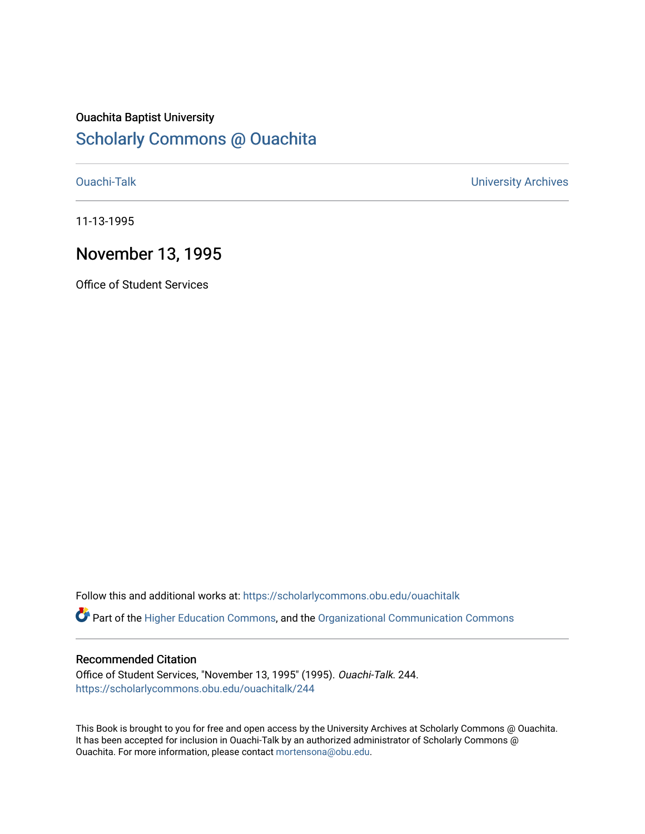## Ouachita Baptist University

## [Scholarly Commons @ Ouachita](https://scholarlycommons.obu.edu/)

[Ouachi-Talk](https://scholarlycommons.obu.edu/ouachitalk) [University Archives](https://scholarlycommons.obu.edu/universityarchives) 

11-13-1995

## November 13, 1995

Office of Student Services

Follow this and additional works at: [https://scholarlycommons.obu.edu/ouachitalk](https://scholarlycommons.obu.edu/ouachitalk?utm_source=scholarlycommons.obu.edu%2Fouachitalk%2F244&utm_medium=PDF&utm_campaign=PDFCoverPages) 

Part of the [Higher Education Commons,](http://network.bepress.com/hgg/discipline/1245?utm_source=scholarlycommons.obu.edu%2Fouachitalk%2F244&utm_medium=PDF&utm_campaign=PDFCoverPages) and the [Organizational Communication Commons](http://network.bepress.com/hgg/discipline/335?utm_source=scholarlycommons.obu.edu%2Fouachitalk%2F244&utm_medium=PDF&utm_campaign=PDFCoverPages)

## Recommended Citation

Office of Student Services, "November 13, 1995" (1995). Ouachi-Talk. 244. [https://scholarlycommons.obu.edu/ouachitalk/244](https://scholarlycommons.obu.edu/ouachitalk/244?utm_source=scholarlycommons.obu.edu%2Fouachitalk%2F244&utm_medium=PDF&utm_campaign=PDFCoverPages) 

This Book is brought to you for free and open access by the University Archives at Scholarly Commons @ Ouachita. It has been accepted for inclusion in Ouachi-Talk by an authorized administrator of Scholarly Commons @ Ouachita. For more information, please contact [mortensona@obu.edu](mailto:mortensona@obu.edu).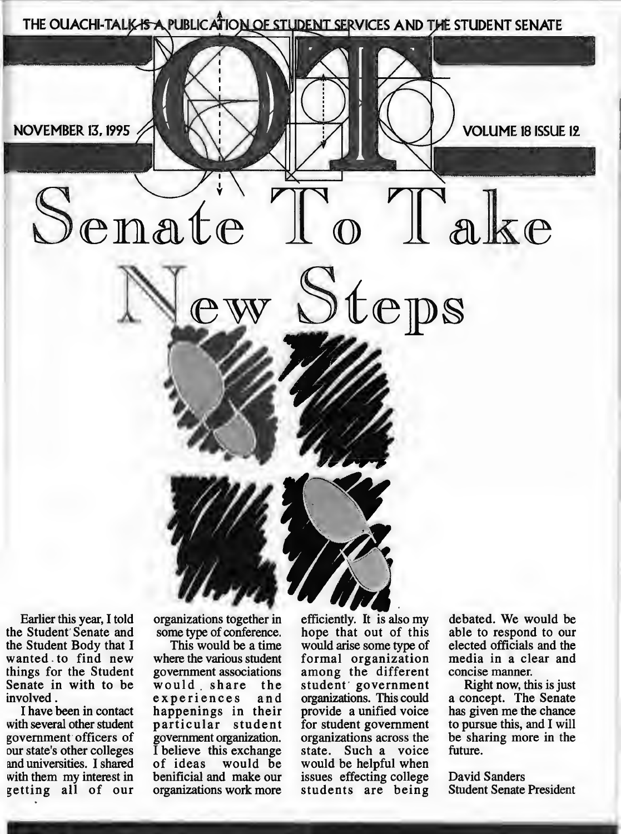

Earlier this year, I told the Student' Senate and the Student Body that I wanted . to find new things for the Student Senate in with to be involved.

I have been in contact with several other student government officers of our state's other colleges and universities. I shared with them my interest in getting all of our organizations together in some type of conference.

This would be a time where the various student government associations would . share the experiences and happenings in their particular student government organization. I believe this exchange of ideas would be benificial and make our organizations work more

efficiently. It is also my hope that out of this would arise some type of formal organization among the different student<sup>'</sup> government organizations. This could provide a unified voice for student government organizations across the state. Such a voice would be helpful when issues effecting college students are being hore students are being students

debated. We would be able to respond to our elected officials and the media in a clear and concise manner.

Right now, this is just a concept. The Senate has given me the chance to pursue this, and I will be sharing more in the future.

David Sanders Student Senate President